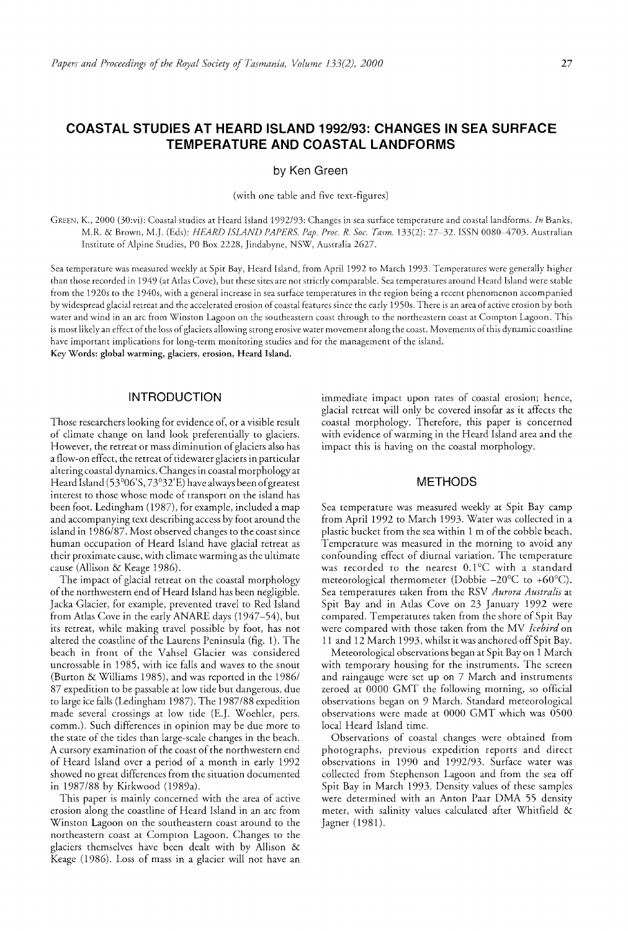# COASTAL STUDIES AT HEARD ISLAND 1992/93: CHANGES IN SEA SURFACE TEMPERATURE AND COASTAL LANDFORMS

by Ken Green

(with one table and five text-figures)

GREEN, K., 2000 (30:vi): Coastal studies at Heard Island 1992/93: Changes in sea surface temperature and coastal landforms. *In* Banks, M.R. & Brown, M.J. (Eds): *HE'ARD ISLAND PAPERS. Pap. Proc. R. Soc. Tasm.* 133(2): 27~32. ISSN OORO-4703. Australian Institute of Alpine Studies, PO Box 2228, Jindabyne, NSV/, Australia 2627.

Sea temperature was measured weekly at Spit Bay, Heard Island, from April 1992 to March 1993. Temperatures were generally than those recorded in 1949 (at Atlas Cove), but these sites are not strictly comparable. Sea temperatures around Heard Island were stable from the 1920s to the 1940s, with a general increase in sea surface temperatures in the region being a recent phenomenon accompanied *by* widespread glacial retreat and the accelerated erosion of coastal features since the early 19 50s. There is an area of active erosion by both water and wind in an arc from Winston Lagoon on the southeastern coast through to the northeastern coast at Compton Lagoon. This is most likely an effect of the loss of glaciers allowing strong erosive water movement along the coast. Movements of this dynamic coastline have important implications for long-term monitoring studies and for the management of the island. Key Words: global warming, glaciers, erosion, Heard Island.

# INTRODUCTION

Those researchers looking for evidence of, or a visible result of climate change on land look preferentially to glaciers. However, the retreat or mass diminution of glaciers also has a flow-on effect, the retreat of tidewater glaciers in particular altering coastal dynamics. Changes in coastal morphology at Heard Island (53°06'S, 73°32'E) have always been of greatest interest to those whose mode of transport on the island has been foot. Ledingham (1987), for example, included a map and accompanying text describing access by foot around the island in *1986/87.* Most observed changes to the coast since human occupation of Heard Island have glacial retreat as their proximate cause, with climate warming as the ultimate cause (Allison & Keage 1986).

The impact of glacial retreat on the coastal morphology of the northwestern end of Heard Island has been negligible. Jacka Glacier, for example, prevented travel to Red Island from Atlas Cove in the early ANARE days (1947-54), but its retreat, while making travel possible by foot, has not altered the coastline of the Laurens Peninsula (fig. 1). The beach in front of the Vahsel Glacier was considered uncrossable in 1985, with ice falls and waves to the snout (Burton & Williams 1985), and was reported in the 1986/ 87 expedition to be passable at low tide but dangerous, due to large ice falls (Ledingham 1987). The *1987/88* expedition made several crossings at low tide (E.]. Woehler, pers. comm.). Such differences in opinion may be due more to the state of the tides than large-scale changes in the beach. A cursory examination of the coast of the northwestern end of Heard Island over a period of a month in early 1992 showed no great differences from the situation documented in *1987/88* by Kirkwood (1989a).

This paper is mainly concerned with the area of active erosion along the coastline of Heard Island in an arc from Winston Lagoon on the southeastern coast around to the northeastern coast at Compton Lagoon. Changes to the glaciers themselves have been dealt with by Allison & Keage (1986). Loss of mass in a glacier will not have an

immediate impact upon rates of coastal erosion; hence, glacial retreat will only be covered insofar as it affects the coastal morphology. Therefore, this paper is concerned with evidence of warming in the Heard Island area and the impact this is having on the coastal morphology.

## **METHODS**

Sea temperature was measured weekly at Spit Bay camp from April 1992 to March 1993. Water was collected in a plastic bucket from the sea within 1 m of the cobble beach. Temperature was measured in the morning to avoid any confounding effect of diurnal variation. The temperature was recorded to the nearest O.l°C with a standard meteorological thermometer (Dobbie  $-20^{\circ}$ C to  $+60^{\circ}$ C). Sea temperatures taken from the RSV *Aurora Australis* at Spit Bay and in Atlas Cove on 23 January 1992 were compared. Temperatures taken from the shore of Spit Bay were compared with those taken from the MV *Icebird* on 11 and 12 March 1993, whilst it was anchored off Spit Bay.

Meteorological observations began at Spit Bay on 1 March with temporary housing for the instruments. The screen and raingauge were set up on 7 March and instruments zeroed at 0000 GMT the following morning, so official observations began on 9 March. Standard meteorological observations were made at 0000 GMT which was 0500 local Heard Island time.

Observations of coastal changes were obtained from photographs, previous expedition reports and direct observations in 1990 and *1992/93.* Surface water was collected from Stephenson Lagoon and from the sea off Spit Bay in March 1993. Density values of these samples were determined with an Anton Paar DMA 55 density meter, with salinity values calculated after Whitfield & Jagner (1981).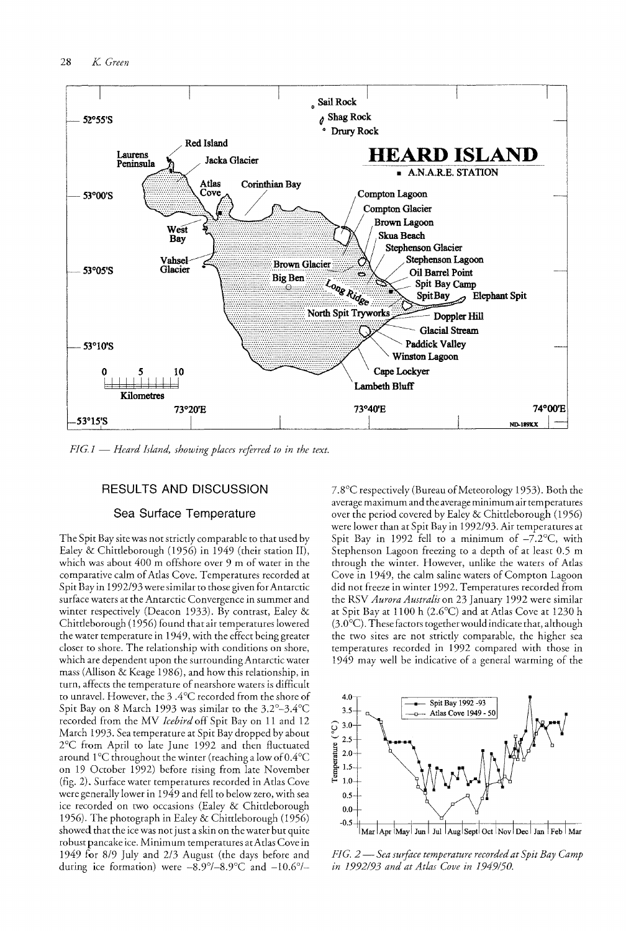

*FIG.1* - *Heard Island, showing places referred to in the text.* 

# RESULTS AND DISCUSSION

# Sea Surface Temperature

The Spit Bay site was not strictly comparable to that used by Ealey & Chittleborough (1956) in 1949 (their station II), which was about 400 m offshore over 9 m of water in the comparative calm of Atlas Cove. Temperatures recorded at Spit Bay in 1992/93 were similar to those given for Antarctic surface waters at the Antarctic Convergence in summer and winter respectively (Deacon 1933). By contrast, Ealey & Chitdeborough (1956) found that air temperatures lowered the water temperature in 1949, with the effect being greater closer to shore. The relationship with conditions on shore, which are dependent upon the surrounding Antarctic water mass (Allison & Keage 1986), and how this relationship, in turn, affects the temperature of nearshore waters is difficult to unravel. However, the 3 .4°C recorded from the shore of Spit Bay on 8 March 1993 was similar to the 3.2°-3.4°C recorded from the MV *Icebird* off Spit Bay on 11 and 12 March 1993. Sea temperature at Spit Bay dropped by about 2°C from April to late June 1992 and then fluctuated around  $1^{\circ}$ C throughout the winter (reaching a low of  $0.4^{\circ}$ C on 19 October 1992) before rising from late November (fig. 2). Surface water temperatures recorded in Atlas Cove were generally lower in 1949 and fell to below zero, with sea ice recorded on two occasions (Ealey & Chittleborough 1956). The photograph in Ealey & Chittleborough (1956) showed that the ice was not just a skin on the water but quite robust pancake ice. Minimum temperatures at Adas Cove in 1949 for 8/9 July and 2/3 August (the days before and during ice formation) were  $-8.9^{\circ}/-8.9^{\circ}$ C and  $-10.6^{\circ}/-$ 

7.8°C respectively (Bureau of Meteorology 1953). Both the average maximum and the average minimum air temperatures over the period covered by Ealey & Chittleborough (1956) were lower than at Spit Bay in 1992/93. Air temperatures at Spit Bay in 1992 fell to a minimum of  $-7.2$ °C, with Stephenson Lagoon freezing to a depth of at least 0.5 m through the winter. However, unlike the waters of Atlas Cove in 1949, the calm saline waters of Compton Lagoon did not freeze in winter 1992. Temperatures recorded from the RSV *Aurora Australis* on 23 January 1992 were similar at Spit Bay at 1100 h (2.6°C) and at Atlas Cove at 1230 h  $(3.0\textdegree C)$ . These factors together would indicate that, although the two sites are not strictly comparable, the higher sea temperatures recorded in 1992 compared with those in 1949 may well be indicative of a general warming of the



*FIG.* 2 - *Sea surfoce temperature recorded at Spit Bay Camp in* 1992/93 *and at Atlas Cove in 1949/50.*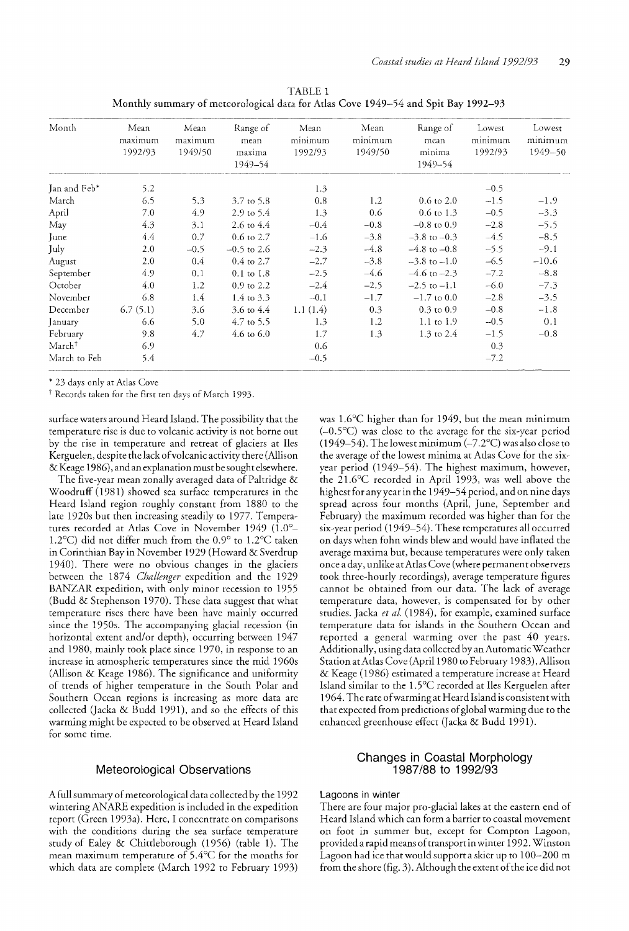l'ABLE 1 Monthly summary of meteorological data for Atlas Cove 1949-54 and Spit Bay 1992-93

| Month              | Mean<br>maximum<br>1992/93 | Mean<br>maximum<br>1949/50 | Range of<br>mean<br>maxima<br>1949–54 | Mean<br>minimum<br>1992/93 | Mean<br>minimum<br>1949/50 | Range of<br>mean<br>minima<br>1949–54 | Lowest<br>minimum<br>1992/93 | Lowest<br>minimum<br>1949-50 |
|--------------------|----------------------------|----------------------------|---------------------------------------|----------------------------|----------------------------|---------------------------------------|------------------------------|------------------------------|
| Jan and Feb*       | 5.2                        |                            |                                       | 1.3                        |                            |                                       | $-0.5$                       |                              |
| March              | 6.5                        | 5.3                        | 3.7 to 5.8                            | 0.8                        | 1.2                        | $0.6 \text{ to } 2.0$                 | $-1.5$                       | $-1.9$                       |
| April              | 7.0                        | 4.9                        | 2.9 to 5.4                            | 1.3                        | 0.6                        | $0.6 \text{ to } 1.3$                 | $-0.5$                       | $-3.3$                       |
| May                | 4.3                        | 3.1                        | $2.6 \text{ to } 4.4$                 | $-0.4$                     | $-0.8$                     | $-0.8$ to 0.9                         | $-2.8$                       | $-5.5$                       |
| June               | 4.4                        | 0.7                        | $0.6 \text{ to } 2.7$                 | $-1.6$                     | $-3.8$                     | $-3.8$ to $-0.3$                      | $-4.5$                       | $-8.5$                       |
| July               | 2.0                        | $-0.5$                     | $-0.5$ to 2.6                         | $-2.3$                     | $-4.8$                     | $-4.8$ to $-0.8$                      | $-5.5$                       | $-9.1$                       |
| August             | 2.0                        | 0.4                        | $0.4$ to 2.7                          | $-2.7$                     | $-3.8$                     | $-3.8$ to $-1.0$                      | $-6.5$                       | $-10.6$                      |
| September          | 4.9                        | 0.1                        | $0.1$ to $1.8$                        | $-2.5$                     | $-4.6$                     | $-4.6$ to $-2.3$                      | $-7.2$                       | $-8.8$                       |
| October            | 4.0                        | 1.2                        | $0.9 \text{ to } 2.2$                 | $-2.4$                     | $-2.5$                     | $-2.5$ to $-1.1$                      | $-6.0$                       | $-7.3$                       |
| November           | 6.8                        | 1.4                        | $1.4 \text{ to } 3.3$                 | $-0.1$                     | $-1.7$                     | $-1.7$ to 0.0                         | $-2.8$                       | $-3.5$                       |
| December           | 6.7(5.1)                   | 3.6                        | 3.6 to 4.4                            | 1.1(1.4)                   | 0.3                        | $0.3 \text{ to } 0.9$                 | $-0.8$                       | $-1.8$                       |
| January            | 6.6                        | 5.0                        | 4.7 to 5.5                            | 1.3                        | 1.2                        | $1.1$ to $1.9$                        | $-0.5$                       | 0.1                          |
| February           | 9.8                        | 4.7                        | $4.6 \text{ to } 6.0$                 | 1.7                        | 1.3                        | 1.3 to $2.4$                          | $-1.5$                       | $-0.8$                       |
| March <sup>†</sup> | 6.9                        |                            |                                       | 0.6                        |                            |                                       | 0.3                          |                              |
| March to Feb       | 5.4                        |                            |                                       | $-0.5$                     |                            |                                       | $-7.2$                       |                              |

\* 23 days only at Atlas Cove

<sup>†</sup> Records taken for the first ten days of March 1993.

surface waters around Heard Island. The possibility that the temperature rise is due to volcanic activity is not borne out by the rise in temperature and retreat of glaciers at Iles Kerguelen, despite the lack of volcanic activity there (Allison & Keage 1986), and an explanation must be sought elsewhere.

The five-year mean zonally averaged data of Paltridge & Woodruff (1981) showed sea surface temperatures in the Heard Island region roughly constant from 1880 to the late 1920s but then increasing steadily to 1977. Temperatures recorded at Atlas Cove in November 1949 (1.0°-1.2°C) did not differ much from the 0.9° to 1.2°C taken in Corinthian Bay in November 1929 (Howard & Sverdrup 1940). There were no obvious changes in the glaciers between the 1874 *Challenger* expedition and the 1929 BANZAR expedition, with only minor recession to 1955 (Budd & Stephenson 1970). These data suggest that what temperature rises there have been have mainly occurred since the 1950s. The accompanying glacial recession (in horizontal extent and/or depth), occurring between 1947 and 1980, mainly took place since 1970, in response to an increase in atmospheric temperatures since the mid 1960s (Allison & Keage 1986). The significance and uniformity of trends of higher temperature in the South Polar and Southern Ocean regions is increasing as more data are collected Qacka & Budd 1991), and so the effects of this warming might be expected to be observed at Heard Island for some time.

## Meteorological Observations

A full summary of meteorological data collected by the 1992 wintering ANARE expedition is included in the expedition report (Green 1993a). Here, I concentrate on comparisons with the conditions during the sea surface temperature study of Ealey & Chittleborough (1956) (table 1). The mean maximum temperature of 5.4°C for the months for which data are complete (March 1992 to February 1993)

was 1.6°C higher than for 1949, but the mean minimum  $(-0.5^{\circ}C)$  was close to the average for the six-year period (1949–54). The lowest minimum ( $-7.2$ °C) was also close to the average of the lowest minima at Atlas Cove for the sixyear period (1949-54). The highest maximum, however, the  $21.6^{\circ}$ C recorded in April 1993, was well above the highest for any year in the 1949-54 period, and on nine days spread across four months (April, June, September and February) the maximum recorded was higher than for the six-year period (1949-54). These temperatures all occurred on days when fohn winds blew and would have inflated the average maxima but, because temperatures were only taken once a day, unlike at Atlas Cove (where permanent observers took three-hourly recordings), average temperature figures cannot be obtained from our data. The lack of average temperature data, however, is compensated for by other studies. Jacka *et al.* (1984), for example, examined surface temperature data for islands in the Southern Ocean and reported a general warming over the past 40 years. Additionally, using data collected by an Automatic Weather Station at Atlas Cove (April 1980 to February 1983), Allison & Keage (1986) estimated a temperature increase at Heard Island similar to the 1.5°C recorded at lles Kerguelen after 1964. The rate of warming at Heard Island is consistent with that expected from predictions of global warming due to the enhanced greenhouse effect (Jacka & Budd 1991).

# Changes in Coastal Morphology 1987/88 to 1992/93

# Lagoons in winter

There are four major pro-glacial lakes at the eastern end of Heard Island which can form a barrier to coastal movement on foot in summer but, except for Compton Lagoon, provided a rapid means of transport in winter 1992. Winston Lagoon had ice that would support a skier up to 100-200 m from the shore (fig. 3). Although the extent of the ice did not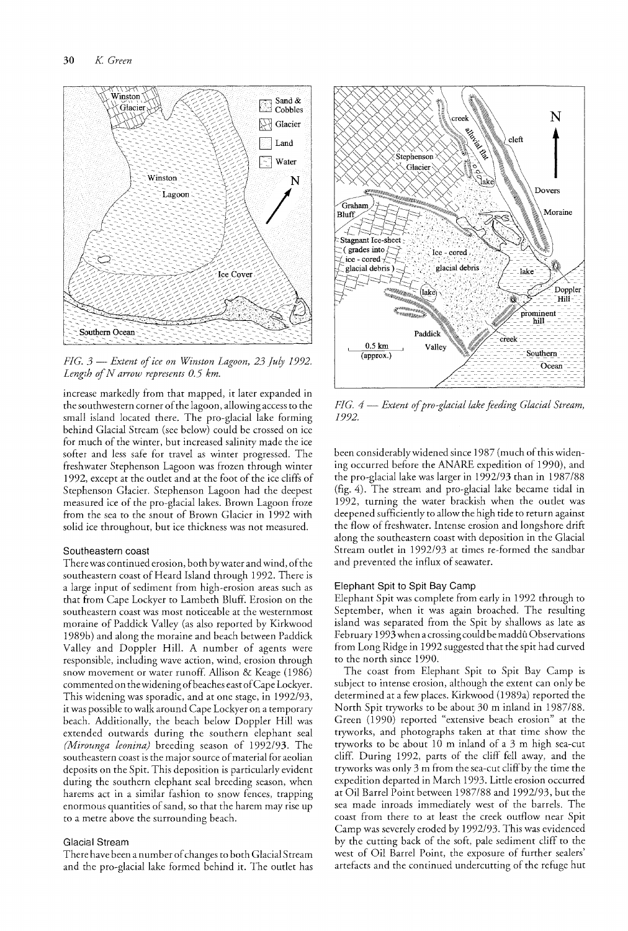

*FIG.* 3 - *Extent of ice on Winston Lagoon, 23 July 1992. Length of N arrow represents 0.5 km.* 

increase markedly from that mapped, it later expanded in the southwestern corner of the lagoon, allowing access to the small island located there. The pro-glacial lake forming behind Glacial Stream (see below) could be crossed on ice for much of the winter, but increased salinity made the ice softer and less safe for travel as winter progressed. The freshwater Stephenson Lagoon was frozen through winter 1992, except at the outlet and at the foot of the ice cliffs of Stephenson Glacier. Stephenson Lagoon had the deepest measured ice of the pro-glacial lakes. Brown Lagoon froze from the sea to the snout of Brown Glacier in 1992 with solid ice throughout, but ice thickness was not measured.

### Southeastern coast

There was continued erosion, both by water and wind, of the southeastern coast of Heard Island through 1992. There is a large input of sediment from high-erosion areas such as that from Cape Lockyer to Lambeth Bluff. Erosion on the southeastern coast was most noticeable at the westernmost moraine of Paddick Valley (as also reported by Kirkwood 1989b) and along the moraine and beach between Paddick Valley and Doppler Hill. A number of agents were responsible, including wave action, wind, erosion through snow movement or water runoff. Allison & Keage (1986) commented on the widening of beaches east of Cape Lockyer. This widening was sporadic, and at one stage, in 1992/93, it was possible to walk around Cape Lockyer on a temporaty beach. Additionally, the beach below Doppler Hill was extended outwards during the southern elephant seal *(Mirounga leonina)* breeding season of 1992/93. The southeastern coast is the major source of material for aeolian deposits on the Spit. This deposition is particularly evident during the southern elephant seal breeding season, when harems act in a similar fashion to snow fences, trapping enormous quantities of sand, so that the harem may rise up to a metre above the surrounding beach.

#### Glacial Stream

There have been anum ber of changes to both Glacial Stream and the pro-glacial lake formed behind it. The outlet has



H *G.* 4 - *Extent of pro-glacial lake feeding Glacial Stream,*  1992.

been considerably widened since 1987 (much of this widening occurred before the ANARE expedition of 1990), and the pro-glacial lake was larger in 1992/93 than in 1987/88 (fig. 4). The stream and pro-glacial lake became tidal in 1992., turning the water brackish when the outlet was deepened sufficiently to allow the high tide to return against the flow of freshwater. Intense erosion and longshore drift along the southeastern coast with deposition in the Glacial Stream outlet in 1992/93 at times re-formed the sandbar and prevented the influx of seawater.

#### Elephant Spit to Spit Bay Camp

Elephant Spit was complete from early in 1992 through to September, when it was again broached. The resulting island was separated from the Spit by shallows as late as February 1993 when a crossing could be maddû Observations from Long Ridge in 1992 suggested that the spit had curved to the north since 1990.

The coast from Elephant Spit to Spit Bay Camp is subject to intense erosion, although the extent can only be determined at a few places. Kirkwood (1989a) reported the North Spit tryworks to be about 30 m inland in 1987/88. Green (1990) reported "extensive beach erosion" at the tryworks, and photographs taken at that time show the tryworks to be about 10m inland of a 3 m high sea-cut cliff. During 1992, parts of the cliff fell away, and the tryworks was only 3 m from the sea-cut cliff by the time the expedition departed in March 1993. Little erosion occurred at Oil Barrel Point between 1987/88 and 1992/93, but the sea made inroads immediately west of the barrels. The coast from there to at least the creek outflow near Spit Camp was severely eroded by 1992/93. This was evidenced by the cutting back of the soft, pale sediment cliff to the west of Oil Barrel Point, the exposure of further sealers' artefacts and the continued undercutting of the refuge hut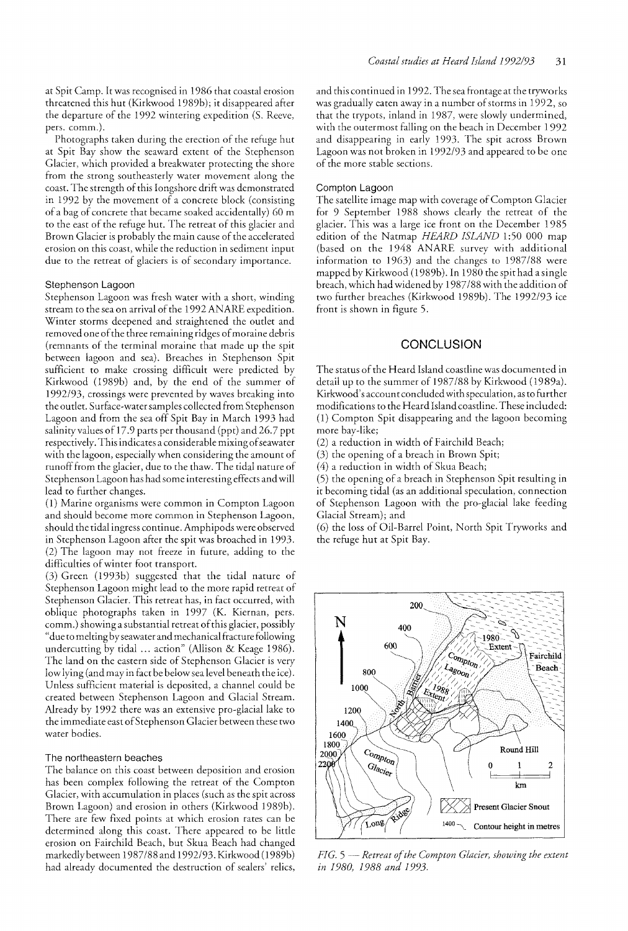at Spit Camp. It was recognised in 1986 that coastal erosion threatened this hut (Kirkwood 1989b); it disappeared after the departure of the 1992 wintering expedition (S. Reeve, pers. comm.).

Photographs taken during the erecrion of the refuge hut at Spit Bay show the seaward extent of the Stephenson Glacier, which provided a breakwater protecting the shore from the strong southeasterly water movement along the coast. The strength of this longshore drift was demonstrated in 1992 by the movement of a concrete block (consisting of a bag of concrete that became soaked accidentally) 60 m to the east of the refuge hut. The retreat of this glacier and Brown Glacier is probably the main cause of the accelerated erosion on this coast, while the reduction in sediment input due to the retreat of glaciers is of secondary importance.

# Stephenson Lagoon

Stephenson Lagoon was fresh water with a short, winding stream to the sea on arrival of the 1992 ANARE expedition. Winter storms deepened and straightened the outlet and removed one of the three remaining ridges of moraine debris (remnants of the terminal moraine that made up the spit between lagoon and sea). Breaches in Stephenson Spit sufficient to make crossing difficult were predicted by Kirkwood (l989b) and, by the end of the summer of 1992/93, crossings were prevented by waves breaking into the outlet. Surface-water samples collected from Stephenson Lagoon and from the sea off Spit Bay in March 1993 had salinity values of 17.9 parts per thousand (ppt) and 26.7 ppt respectively. This indicates a considerable mixing of seawater with the lagoon, especially when considering the amount of runoff from the glacier, due to the thaw. The tidal nature of Stephenson Lagoon has had some interesting effects and will lead to further changes.

(1) Marine organisms were common in Compton Lagoon and should become more common in Stephenson Lagoon, should the tidal ingress continue. Amphipods were observed in Stephenson Lagoon after the spit was broached in 1993. (2) The lagoon may not freeze in future, adding to the difficulties of winter foot transport.

(3) Green (1993b) suggested that the tidal nature of Stephenson Lagoon might lead to the more rapid retreat of Stephenson Glacier. This retreat has, in fact occurred, with oblique photographs taken in 1997 (K. Kiernan, pers. comm.) showing a su bstantial retreat of this glacier, possibly "due to melting by seawater and mechanical fracture following undercutting by tidal ... action" (Allison & Keage 1986). The land on the eastern side of Stephenson Glacier is very low lying (and may in fact be below sealevel beneath the ice). Unless sufficient material is deposited, a channel could be created between Stephenson Lagoon and Glacial Stream. Already by 1992 there was an extensive pro-glacial lake to the immediate east of Stephenson Glacier between these two water bodies.

#### The northeastern beaches

The balance on this coast between deposition and erosion has been complex following the retreat of the Compton Glacier, with accumulation in places (such as the spit across Brown Lagoon) and erosion in others (Kirkwood 1989b). There are few fixed points at which erosion rates can be determined along this coast. There appeared to be little erosion on Fairchild Beach, but Skua Beach had changed markedly between 1987/88 and 1992/93. Kirkwood (1989b) had already documented the destruction of sealers' relics,

and this continued in 1992. The sea frontage at the tryworks was gradually eaten away in a number of storms in 1992, so that the trypots, inland in 1987, were slowly undermined, with the outermost falling on the beach in December 1992 and disappearing in early 1993. The spit across Brown Lagoon was not broken in 1992/93 and appeared to be one of the more stable sections.

#### Compton Lagoon

The satellite image map with coverage of Compton Glacier for 9 September 1988 shows clearly the retreat of the glacier. This was a large ice front on the December 1985 edition of the Natmap *HEARD ISLAND* 1:50 000 map (based on the 1948 ANARE survey with additional information to  $1963$ ) and the changes to  $1987/88$  were mapped by Kirkwood (1989b). in 1980 the spit bad a single breach, which had widened by 1987/88 with the addition of two further breaches (Kirkwood 1989b). The 1992/93 ice front is shown in figure 5.

# **CONCLUSION**

The status of the Heard Island coastline was documented in detail up to the summer of *1987/88* by Kirkwood (1989a). Kirkwood's account concluded with speculation, as to further modifications to the Heard Island coastline. These included: (1) Compton Spit disappearing and the lagoon becoming more bay-like;

(2) a reduction in width of Fairchild Beach;

(3) the opening of a breach in Brown Spit;

(4) a reduction in width of Skua Beach;

(5) the opening of a breach in Stephenson Spit resulting in it becoming tidal (as an additional speculation, connection of Stephenson Lagoon with the pro-glacial lake feeding Glacial Stream); and

(6) the loss of Oil-Barrel Poim, North Spit Tryworks and the refuge hut at Spit Bay.



*FIG.* 5 — Retreat of the Compton Glacier, showing the extent *in 1980,* 1988 *and 1993.*